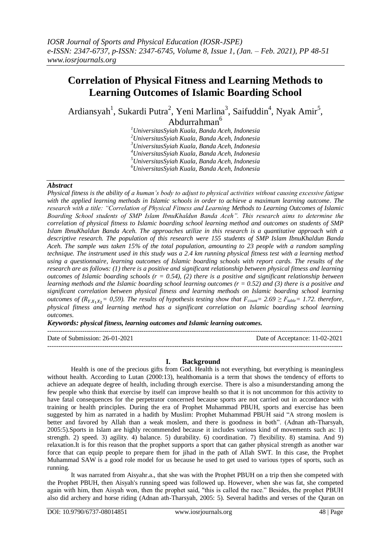# **Correlation of Physical Fitness and Learning Methods to Learning Outcomes of Islamic Boarding School**

Ardiansyah<sup>1</sup>, Sukardi Putra<sup>2</sup>, Yeni Marlina<sup>3</sup>, Saifuddin<sup>4</sup>, Nyak Amir<sup>5</sup>, Abdurrahman<sup>6</sup>

> *UniversitasSyiah Kuala, Banda Aceh, Indonesia UniversitasSyiah Kuala, Banda Aceh, Indonesia UniversitasSyiah Kuala, Banda Aceh, Indonesia UniversitasSyiah Kuala, Banda Aceh, Indonesia UniversitasSyiah Kuala, Banda Aceh, Indonesia UniversitasSyiah Kuala, Banda Aceh, Indonesia*

## *Abstract*

*Physical fitness is the ability of a human's body to adjust to physical activities without causing excessive fatigue with the applied learning methods in Islamic schools in order to achieve a maximum learning outcome. The research with a title: "Correlation of Physical Fitness and Learning Methods to Learning Outcomes of Islamic Boarding School students of SMP Islam IbnuKhaldun Banda Aceh". This research aims to determine the correlation of physical fitness to Islamic boarding school learning method and outcomes on students of SMP Islam IbnuKhaldun Banda Aceh. The approaches utilize in this research is a quantitative approach with a descriptive research. The population of this research were 155 students of SMP Islam IbnuKhaldun Banda Aceh. The sample was taken 15% of the total population, amounting to 23 people with a random sampling technique. The instrument used in this study was a 2.4 km running physical fitness test with a learning method using a questionnaire, learning outcomes of Islamic boarding schools with report cards. The results of the research are as follows: (1) there is a positive and significant relationship between physical fitness and learning outcomes of Islamic boarding schools (r = 0.54), (2) there is a positive and significant relationship between learning methods and the Islamic boarding school learning outcomes (r = 0.52) and (3) there is a positive and significant correlation between physical fitness and learning methods on Islamic boarding school learning outcomes of (R<sub>Y,X<sub>1</sub>X<sub>2</sub></sub> = 0,59). The results of hypothesis testing show that*  $F_{count} = 2.69 \ge F_{table} = 1.72$ *. therefore, physical fitness and learning method has a significant correlation on Islamic boarding school learning outcomes.* 

*Keywords: physical fitness, learning outcomes and Islamic learning outcomes.*

 $-1\leq i\leq n-1\leq n-1\leq n-1\leq n-1\leq n-1\leq n-1\leq n-1\leq n-1\leq n-1\leq n-1\leq n-1\leq n-1\leq n-1\leq n-1\leq n-1\leq n-1\leq n-1\leq n-1\leq n-1\leq n-1\leq n-1\leq n-1\leq n-1\leq n-1\leq n-1\leq n-1\leq n-1\leq n-1\leq n-1\leq n-1\leq n-1\leq n-1\leq n-1\leq n-1\leq n-1\leq n$ 

Date of Submission: 26-01-2021 Date of Acceptance: 11-02-2021  $-1\leq i\leq n-1\leq n-1\leq n-1\leq n-1\leq n-1\leq n-1\leq n-1\leq n-1\leq n-1\leq n-1\leq n-1\leq n-1\leq n-1\leq n-1\leq n-1\leq n-1\leq n-1\leq n-1\leq n-1\leq n-1\leq n-1\leq n-1\leq n-1\leq n-1\leq n-1\leq n-1\leq n-1\leq n-1\leq n-1\leq n-1\leq n-1\leq n-1\leq n-1\leq n-1\leq n-1\leq n$ 

#### **I. Background**

Health is one of the precious gifts from God. Health is not everything, but everything is meaningless without health. According to Lutan (2000:13), healthomania is a term that shows the tendency of efforts to achieve an adequate degree of health, including through exercise. There is also a misunderstanding among the few people who think that exercise by itself can improve health so that it is not uncommon for this activity to have fatal consequences for the perpetrator concerned because sports are not carried out in accordance with training or health principles. During the era of Prophet Muhammad PBUH, sports and exercise has been suggested by him as narrated in a hadith by Muslim: Prophet Muhammad PBUH said "A strong moslem is better and favored by Allah than a weak moslem, and there is goodness in both". (Adnan ath-Tharsyah, 2005:5).Sports in Islam are highly recommended because it includes various kind of movements such as: 1) strength. 2) speed. 3) agility. 4) balance. 5) durability. 6) coordination. 7) flexibility. 8) stamina. And 9) relaxation.It is for this reason that the prophet supports a sport that can gather physical strength as another war force that can equip people to prepare them for jihad in the path of Allah SWT. In this case, the Prophet Muhammad SAW is a good role model for us because he used to get used to various types of sports, such as running.

It was narrated from Aisyahr.a., that she was with the Prophet PBUH on a trip then she competed with the Prophet PBUH, then Aisyah's running speed was followed up. However, when she was fat, she competed again with him, then Aisyah won, then the prophet said, "this is called the race." Besides, the prophet PBUH also did archery and horse riding (Adnan ath-Tharsyah, 2005: 5). Several hadiths and verses of the Quran on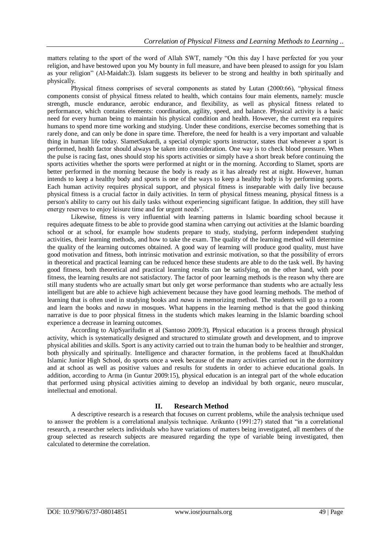matters relating to the sport of the word of Allah SWT, namely "On this day I have perfected for you your religion, and have bestowed upon you My bounty in full measure, and have been pleased to assign for you Islam as your religion" (Al-Maidah:3). Islam suggests its believer to be strong and healthy in both spiritually and physically.

Physical fitness comprises of several components as stated by Lutan (2000:66), "physical fitness components consist of physical fitness related to health, which contains four main elements, namely: muscle strength, muscle endurance, aerobic endurance, and flexibility, as well as physical fitness related to performance, which contains elements: coordination, agility, speed, and balance. Physical activity is a basic need for every human being to maintain his physical condition and health. However, the current era requires humans to spend more time working and studying. Under these conditions, exercise becomes something that is rarely done, and can only be done in spare time. Therefore, the need for health is a very important and valuable thing in human life today. SlametSukardi, a special olympic sports instructor, states that whenever a sport is performed, health factor should always be taken into consideration. One way is to check blood pressure. When the pulse is racing fast, ones should stop his sports activities or simply have a short break before continuing the sports activities whether the sports were performed at night or in the morning. According to Slamet, sports are better performed in the morning because the body is ready as it has already rest at night. However, human intends to keep a healthy body and sports is one of the ways to keep a healthy body is by performing sports. Each human activity requires physical support, and physical fitness is inseparable with daily live because physical fitness is a crucial factor in daily activities. In term of physical fitness meaning, physical fitness is a person's ability to carry out his daily tasks without experiencing significant fatigue. In addition, they still have energy reserves to enjoy leisure time and for urgent needs".

Likewise, fitness is very influential with learning patterns in Islamic boarding school because it requires adequate fitness to be able to provide good stamina when carrying out activities at the Islamic boarding school or at school, for example how students prepare to study, studying, perform independent studying activities, their learning methods, and how to take the exam. The quality of the learning method will determine the quality of the learning outcomes obtained. A good way of learning will produce good quality, must have good motivation and fitness, both intrinsic motivation and extrinsic motivation, so that the possibility of errors in theoretical and practical learning can be reduced hence these students are able to do the task well. By having good fitness, both theoretical and practical learning results can be satisfying, on the other hand, with poor fitness, the learning results are not satisfactory. The factor of poor learning methods is the reason why there are still many students who are actually smart but only get worse performance than students who are actually less intelligent but are able to achieve high achievement because they have good learning methods. The method of learning that is often used in studying books and *nawu* is memorizing method. The students will go to a room and learn the books and *nawu* in mosques. What happens in the learning method is that the good thinking narrative is due to poor physical fitness in the students which makes learning in the Islamic boarding school experience a decrease in learning outcomes.

According to AipSyarifudin et al (Santoso 2009:3), Physical education is a process through physical activity, which is systematically designed and structured to stimulate growth and development, and to improve physical abilities and skills. Sport is any activity carried out to train the human body to be healthier and stronger, both physically and spiritually. Intelligence and character formation, in the problems faced at IbnuKhaldun Islamic Junior High School, do sports once a week because of the many activities carried out in the dormitory and at school as well as positive values and results for students in order to achieve educational goals. In addition, according to Arma (in Guntur 2009:15), physical education is an integral part of the whole education that performed using physical activities aiming to develop an individual by both organic, neuro muscular, intellectual and emotional.

## **II. Research Method**

A descriptive research is a research that focuses on current problems, while the analysis technique used to answer the problem is a correlational analysis technique. Arikunto (1991:27) stated that "in a correlational research, a researcher selects individuals who have variations of matters being investigated, all members of the group selected as research subjects are measured regarding the type of variable being investigated, then calculated to determine the correlation.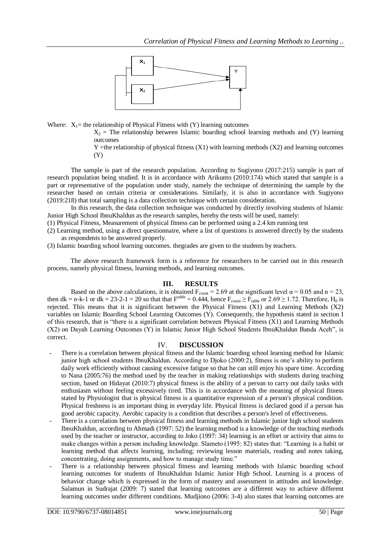

Where:  $X_1$ = the relationship of Physical Fitness with (Y) learning outcomes

 $X_2$  = The relationship between Islamic boarding school learning methods and (Y) learning outcomes

 $Y =$ the relationship of physical fitness  $(X1)$  with learning methods  $(X2)$  and learning outcomes (Y)

The sample is part of the research population. According to Sugiyono (2017:215) sample is part of research population being studied. It is in accordance with Arikunto (2010:174) which stated that sample is a part or representative of the population under study, namely the technique of determining the sample by the researcher based on certain criteria or considerations. Similarly, it is also in accordance with Sugiyono (2019:218) that total sampling is a data collection technique with certain consideration.

In this research, the data collection technique was conducted by directly involving students of Islamic Junior High School IbnuKhaldun as the research samples, hereby the tests will be used, namely:

(1) Physical Fitness, Measurement of physical fitness can be performed using a 2.4 km running test

(2) Learning method, using a direct questionnaire, where a list of questions is answered directly by the students as respondents to be answered properly.

(3) Islamic boarding school learning outcomes. thegrades are given to the students by teachers.

The above research framework form is a reference for researchers to be carried out in this research process, namely physical fitness, learning methods, and learning outcomes.

## **III. RESULTS**

Based on the above calculations, it is obtained  $F_{\text{count}} = 2.69$  at the significant level  $\alpha = 0.05$  and  $n = 23$ , then dk = n-k-1 or dk = 23-2-1 = 20 so that that  $F^{table} = 0.444$ , hence  $F_{count} \ge F_{table}$  or 2.69  $\ge 1.72$ . Therefore, H<sub>0</sub> is rejected. This means that it is significant between the Physical Fitness (X1) and Learning Methods (X2) variables on Islamic Boarding School Learning Outcomes (Y). Consequently, the hypothesis stated in section I of this research, that is "there is a significant correlation between Physical Fitness (X1) and Learning Methods (X2) on Dayah Learning Outcomes (Y) in Islamic Junior High School Students IbnuKhaldun Banda Aceh", is correct.

#### IV. **DISCUSSION**

- There is a correlation between physical fitness and the Islamic boarding school learning method for Islamic junior high school students IbnuKhaldun. According to Djoko (2000:2), fitness is one's ability to perform daily work efficiently without causing excessive fatigue so that he can still enjoy his spare time. According to Nana (2005:76) the method used by the teacher in making relationships with students during teaching section, based on Hidayat (2010:7) physical fitness is the ability of a person to carry out daily tasks with enthusiasm without feeling excessively tired. This is in accordance with the meaning of physical fitness stated by Physiologist that is physical fitness is a quantitative expression of a person's physical condition. Physical freshness is an important thing in everyday life. Physical fitness is declared good if a person has good aerobic capacity. Aerobic capacity is a condition that describes a person's level of effectiveness.
- There is a correlation between physical fitness and learning methods in Islamic junior high school students IbnuKhaldun, according to Ahmadi (1997: 52) the learning method is a knowledge of the teaching methods used by the teacher or instructor, according to Joko (1997: 34) learning is an effort or activity that aims to make changes within a person including knowledge. Slameto (1995: 82) states that: "Learning is a habit or learning method that affects learning, including; reviewing lesson materials, reading and notes taking, concentrating, doing assignments, and how to manage study time."
- There is a relationship between physical fitness and learning methods with Islamic boarding school learning outcomes for students of IbnuKhaldun Islamic Junior High School. Learning is a process of behavior change which is expressed in the form of mastery and assessment in attitudes and knowledge. Salamun in Sudrajat (2009: 7) stated that learning outcomes are a different way to achieve different learning outcomes under different conditions. Mudjiono (2006: 3-4) also states that learning outcomes are